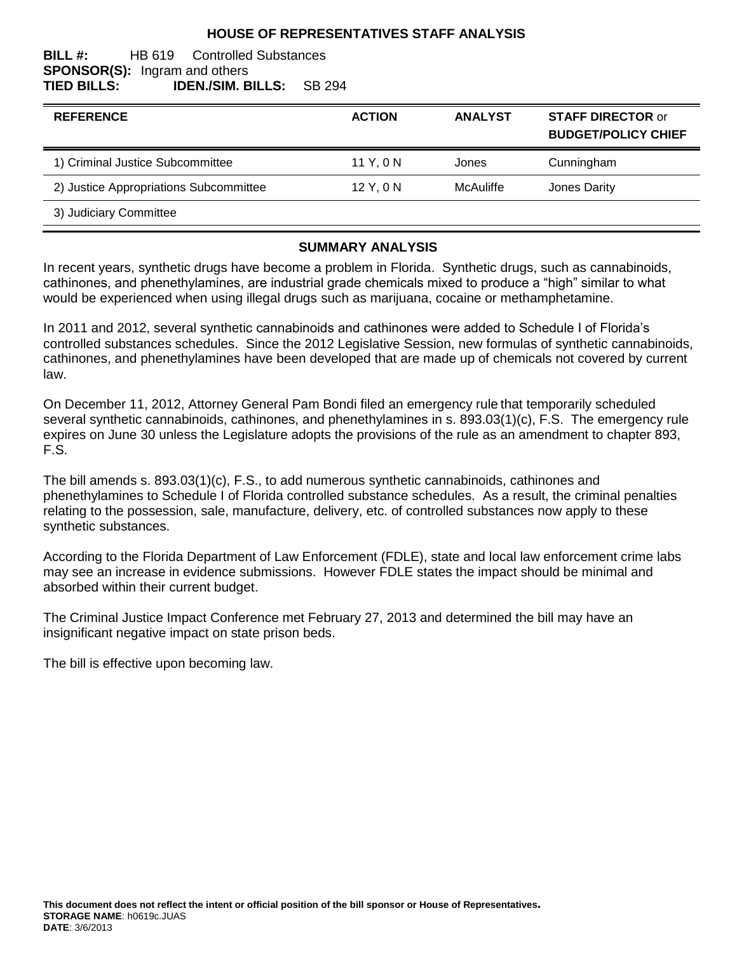# **HOUSE OF REPRESENTATIVES STAFF ANALYSIS**

#### **BILL #:** HB 619 Controlled Substances **SPONSOR(S):** Ingram and others **TIED BILLS: IDEN./SIM. BILLS:** SB 294

| <b>REFERENCE</b>                       | <b>ACTION</b> | <b>ANALYST</b> | <b>STAFF DIRECTOR or</b><br><b>BUDGET/POLICY CHIEF</b> |
|----------------------------------------|---------------|----------------|--------------------------------------------------------|
| 1) Criminal Justice Subcommittee       | 11 Y, 0 N     | Jones          | Cunningham                                             |
| 2) Justice Appropriations Subcommittee | 12 Y, 0 N     | McAuliffe      | Jones Darity                                           |
| 3) Judiciary Committee                 |               |                |                                                        |

#### **SUMMARY ANALYSIS**

In recent years, synthetic drugs have become a problem in Florida. Synthetic drugs, such as cannabinoids, cathinones, and phenethylamines, are industrial grade chemicals mixed to produce a "high" similar to what would be experienced when using illegal drugs such as marijuana, cocaine or methamphetamine.

In 2011 and 2012, several synthetic cannabinoids and cathinones were added to Schedule I of Florida's controlled substances schedules. Since the 2012 Legislative Session, new formulas of synthetic cannabinoids, cathinones, and phenethylamines have been developed that are made up of chemicals not covered by current law.

On December 11, 2012, Attorney General Pam Bondi filed an emergency rule that temporarily scheduled several synthetic cannabinoids, cathinones, and phenethylamines in s. 893.03(1)(c), F.S. The emergency rule expires on June 30 unless the Legislature adopts the provisions of the rule as an amendment to chapter 893, F.S.

The bill amends s. 893.03(1)(c), F.S., to add numerous synthetic cannabinoids, cathinones and phenethylamines to Schedule I of Florida controlled substance schedules. As a result, the criminal penalties relating to the possession, sale, manufacture, delivery, etc. of controlled substances now apply to these synthetic substances.

According to the Florida Department of Law Enforcement (FDLE), state and local law enforcement crime labs may see an increase in evidence submissions. However FDLE states the impact should be minimal and absorbed within their current budget.

The Criminal Justice Impact Conference met February 27, 2013 and determined the bill may have an insignificant negative impact on state prison beds.

The bill is effective upon becoming law.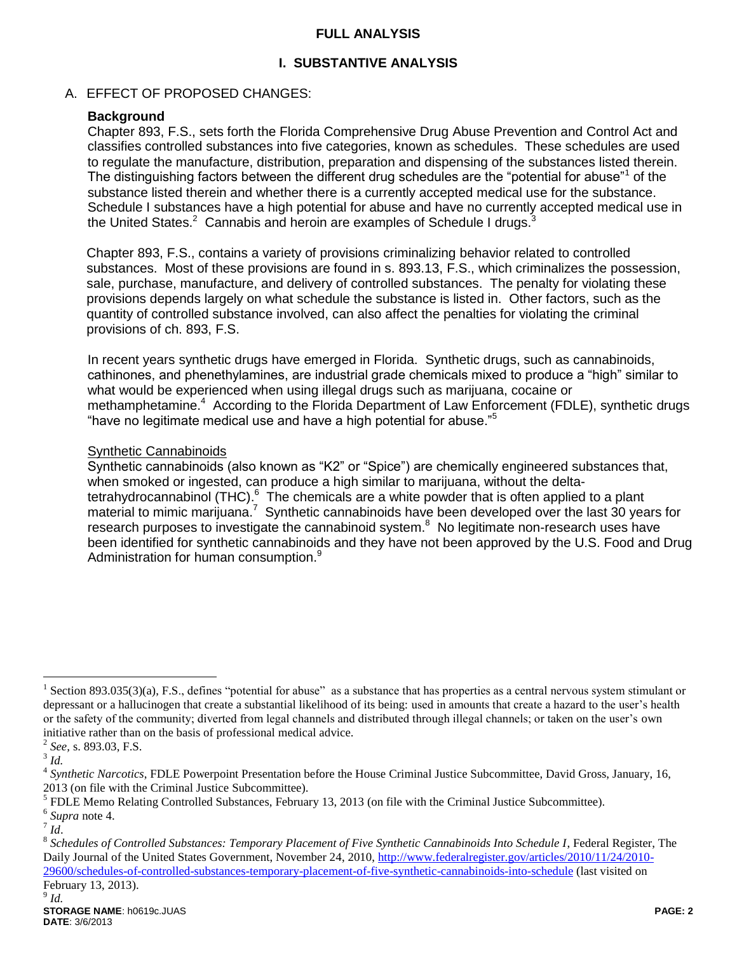# **FULL ANALYSIS**

# **I. SUBSTANTIVE ANALYSIS**

### A. EFFECT OF PROPOSED CHANGES:

# **Background**

Chapter 893, F.S., sets forth the Florida Comprehensive Drug Abuse Prevention and Control Act and classifies controlled substances into five categories, known as schedules. These schedules are used to regulate the manufacture, distribution, preparation and dispensing of the substances listed therein. The distinguishing factors between the different drug schedules are the "potential for abuse"<sup>1</sup> of the substance listed therein and whether there is a currently accepted medical use for the substance. Schedule I substances have a high potential for abuse and have no currently accepted medical use in the United States. $2$  Cannabis and heroin are examples of Schedule I drugs.<sup>3</sup>

Chapter 893, F.S., contains a variety of provisions criminalizing behavior related to controlled substances. Most of these provisions are found in s. 893.13, F.S., which criminalizes the possession, sale, purchase, manufacture, and delivery of controlled substances. The penalty for violating these provisions depends largely on what schedule the substance is listed in. Other factors, such as the quantity of controlled substance involved, can also affect the penalties for violating the criminal provisions of ch. 893, F.S.

In recent years synthetic drugs have emerged in Florida. Synthetic drugs, such as cannabinoids, cathinones, and phenethylamines, are industrial grade chemicals mixed to produce a "high" similar to what would be experienced when using illegal drugs such as marijuana, cocaine or methamphetamine.<sup>4</sup> According to the Florida Department of Law Enforcement (FDLE), synthetic drugs "have no legitimate medical use and have a high potential for abuse."<sup>5</sup>

#### Synthetic Cannabinoids

Synthetic cannabinoids (also known as "K2" or "Spice") are chemically engineered substances that, when smoked or ingested, can produce a high similar to marijuana, without the deltatetrahydrocannabinol (THC).<sup>6</sup> The chemicals are a white powder that is often applied to a plant material to mimic marijuana.<sup>7</sup> Synthetic cannabinoids have been developed over the last 30 years for research purposes to investigate the cannabinoid system. $8\,$  No legitimate non-research uses have been identified for synthetic cannabinoids and they have not been approved by the U.S. Food and Drug Administration for human consumption.<sup>9</sup>

 $\overline{a}$ 

9 *Id.*

<sup>&</sup>lt;sup>1</sup> Section 893.035(3)(a), F.S., defines "potential for abuse" as a substance that has properties as a central nervous system stimulant or depressant or a hallucinogen that create a substantial likelihood of its being: used in amounts that create a hazard to the user's health or the safety of the community; diverted from legal channels and distributed through illegal channels; or taken on the user's own initiative rather than on the basis of professional medical advice.

<sup>2</sup> *See,* s. 893.03, F.S.

<sup>3</sup> *Id.*

<sup>4</sup> *Synthetic Narcotics*, FDLE Powerpoint Presentation before the House Criminal Justice Subcommittee, David Gross, January, 16, 2013 (on file with the Criminal Justice Subcommittee).

 $<sup>5</sup>$  FDLE Memo Relating Controlled Substances, February 13, 2013 (on file with the Criminal Justice Subcommittee).</sup>

<sup>6</sup> *Supra* note 4.

<sup>7</sup> *Id*.

<sup>8</sup> *Schedules of Controlled Substances: Temporary Placement of Five Synthetic Cannabinoids Into Schedule I*, Federal Register, The Daily Journal of the United States Government, November 24, 2010, [http://www.federalregister.gov/articles/2010/11/24/2010-](http://www.ncsl.org/) [29600/schedules-of-controlled-substances-temporary-placement-of-five-synthetic-cannabinoids-into-schedule](http://www.ncsl.org/) (last visited on February 13, 2013).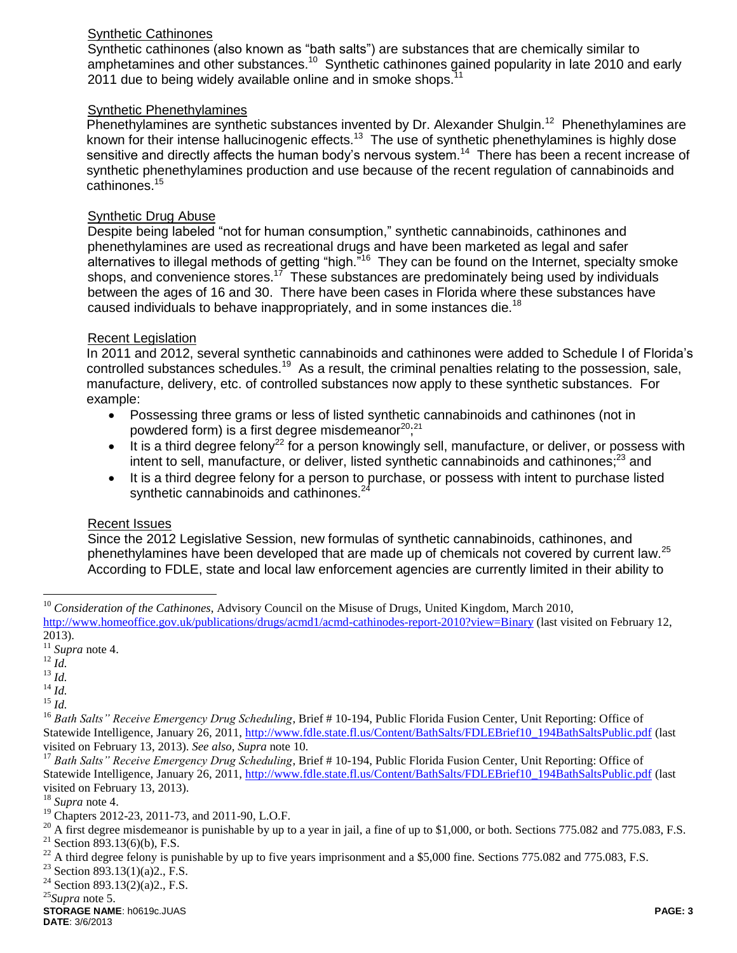# Synthetic Cathinones

Synthetic cathinones (also known as "bath salts") are substances that are chemically similar to amphetamines and other substances.<sup>10</sup> Synthetic cathinones gained popularity in late 2010 and early 2011 due to being widely available online and in smoke shops.<sup>1</sup>

# Synthetic Phenethylamines

Phenethylamines are synthetic substances invented by Dr. Alexander Shulgin.<sup>12</sup> Phenethylamines are known for their intense hallucinogenic effects.<sup>13</sup> The use of synthetic phenethylamines is highly dose sensitive and directly affects the human body's nervous system.<sup>14</sup> There has been a recent increase of synthetic phenethylamines production and use because of the recent regulation of cannabinoids and cathinones.<sup>15</sup>

# Synthetic Drug Abuse

Despite being labeled "not for human consumption," synthetic cannabinoids, cathinones and phenethylamines are used as recreational drugs and have been marketed as legal and safer alternatives to illegal methods of getting "high."<sup>16</sup> They can be found on the Internet, specialty smoke shops, and convenience stores.<sup>17</sup> These substances are predominately being used by individuals between the ages of 16 and 30. There have been cases in Florida where these substances have caused individuals to behave inappropriately, and in some instances die.<sup>18</sup>

# Recent Legislation

In 2011 and 2012, several synthetic cannabinoids and cathinones were added to Schedule I of Florida's controlled substances schedules.<sup>19</sup> As a result, the criminal penalties relating to the possession, sale, manufacture, delivery, etc. of controlled substances now apply to these synthetic substances. For example:

- Possessing three grams or less of listed synthetic cannabinoids and cathinones (not in powdered form) is a first degree misdemeanor<sup>20</sup>,<sup>21</sup>
- It is a third degree felony<sup>22</sup> for a person knowingly sell, manufacture, or deliver, or possess with intent to sell, manufacture, or deliver, listed synthetic cannabinoids and cathinones;<sup>23</sup> and
- It is a third degree felony for a person to purchase, or possess with intent to purchase listed synthetic cannabinoids and cathinones.<sup>24</sup>

# Recent Issues

Since the 2012 Legislative Session, new formulas of synthetic cannabinoids, cathinones, and phenethylamines have been developed that are made up of chemicals not covered by current law.<sup>25</sup> According to FDLE, state and local law enforcement agencies are currently limited in their ability to

<sup>13</sup> *Id.*

 $\overline{a}$ 

- <sup>14</sup> *Id.*
- <sup>15</sup> *Id.*

<sup>19</sup> Chapters 2012-23, 2011-73, and 2011-90, L.O.F.

 $20$  A first degree misdemeanor is punishable by up to a year in jail, a fine of up to \$1,000, or both. Sections 775.082 and 775.083, F.S. <sup>21</sup> Section 893.13(6)(b), F.S.

<sup>22</sup> A third degree felony is punishable by up to five years imprisonment and a \$5,000 fine. Sections 775.082 and 775.083, F.S. <sup>23</sup> Section 803 13(1)(a)? F.S.

Section 893.13(1)(a)2., F.S.

<sup>24</sup> Section 893.13(2)(a)2., F.S.

<sup>25</sup>*Supra* note 5.

**STORAGE NAME**: h0619c.JUAS **PAGE: 3 DATE**: 3/6/2013

<sup>&</sup>lt;sup>10</sup> *Consideration of the Cathinones*, Advisory Council on the Misuse of Drugs, United Kingdom, March 2010, <http://www.homeoffice.gov.uk/publications/drugs/acmd1/acmd-cathinodes-report-2010?view=Binary> (last visited on February 12, 2013).

 $\frac{2012}{11}$  *Supra* note 4.

<sup>12</sup> *Id.*

<sup>&</sup>lt;sup>16</sup> Bath Salts" Receive Emergency Drug Scheduling, Brief # 10-194, Public Florida Fusion Center, Unit Reporting: Office of Statewide Intelligence, January 26, 2011[, http://www.fdle.state.fl.us/Content/BathSalts/FDLEBrief10\\_194BathSaltsPublic.pdf](http://www.fdle.state.fl.us/Content/BathSalts/FDLEBrief10_194BathSaltsPublic.pdf) (last visited on February 13, 2013). *See also, Supra* note 10.

<sup>&</sup>lt;sup>17</sup> Bath Salts" Receive Emergency Drug Scheduling, Brief # 10-194, Public Florida Fusion Center, Unit Reporting: Office of Statewide Intelligence, January 26, 2011[, http://www.fdle.state.fl.us/Content/BathSalts/FDLEBrief10\\_194BathSaltsPublic.pdf](http://www.fdle.state.fl.us/Content/BathSalts/FDLEBrief10_194BathSaltsPublic.pdf) (last visited on February 13, 2013).

<sup>18</sup> *Supra* note 4.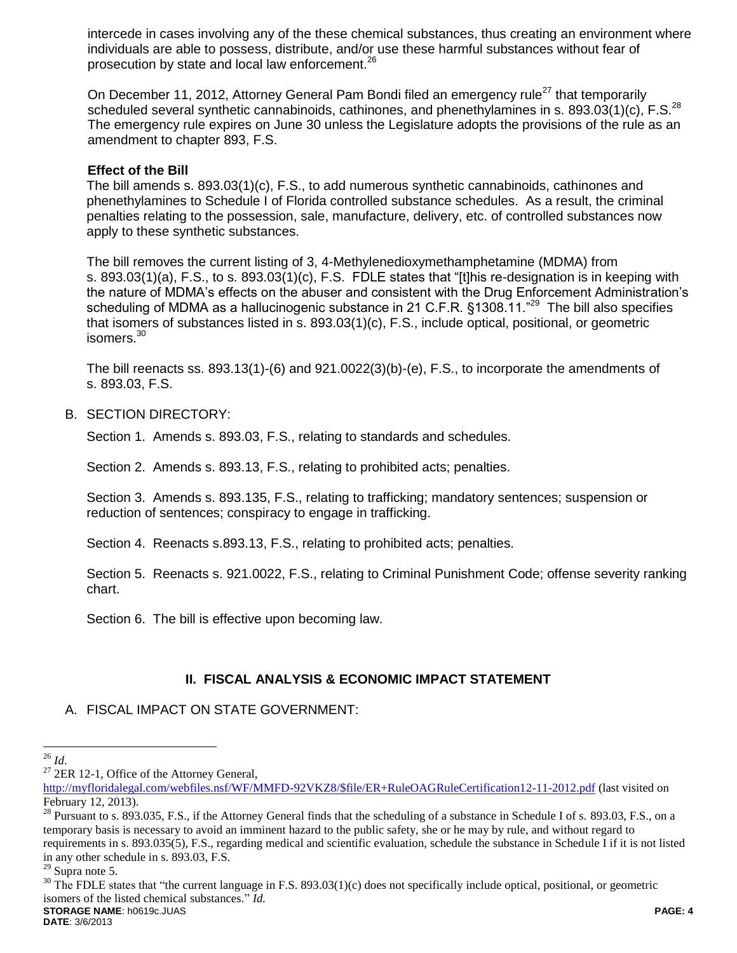intercede in cases involving any of the these chemical substances, thus creating an environment where individuals are able to possess, distribute, and/or use these harmful substances without fear of prosecution by state and local law enforcement.<sup>26</sup>

On December 11, 2012, Attorney General Pam Bondi filed an emergency rule<sup>27</sup> that temporarily scheduled several synthetic cannabinoids, cathinones, and phenethylamines in s. 893.03(1)(c), F.S.<sup>28</sup> The emergency rule expires on June 30 unless the Legislature adopts the provisions of the rule as an amendment to chapter 893, F.S.

### **Effect of the Bill**

The bill amends s. 893.03(1)(c), F.S., to add numerous synthetic cannabinoids, cathinones and phenethylamines to Schedule I of Florida controlled substance schedules. As a result, the criminal penalties relating to the possession, sale, manufacture, delivery, etc. of controlled substances now apply to these synthetic substances.

The bill removes the current listing of 3, 4-Methylenedioxymethamphetamine (MDMA) from s. 893.03(1)(a), F.S., to s. 893.03(1)(c), F.S. FDLE states that "[t]his re-designation is in keeping with the nature of MDMA's effects on the abuser and consistent with the Drug Enforcement Administration's scheduling of MDMA as a hallucinogenic substance in 21 C.F.R. §1308.11."<sup>29</sup> The bill also specifies that isomers of substances listed in s. 893.03(1)(c), F.S., include optical, positional, or geometric isomers.<sup>30</sup>

The bill reenacts ss. 893.13(1)-(6) and 921.0022(3)(b)-(e), F.S., to incorporate the amendments of s. 893.03, F.S.

#### B. SECTION DIRECTORY:

Section 1. Amends s. 893.03, F.S., relating to standards and schedules.

Section 2. Amends s. 893.13, F.S., relating to prohibited acts; penalties.

Section 3. Amends s. 893.135, F.S., relating to trafficking; mandatory sentences; suspension or reduction of sentences; conspiracy to engage in trafficking.

Section 4. Reenacts s.893.13, F.S., relating to prohibited acts; penalties.

Section 5. Reenacts s. 921.0022, F.S., relating to Criminal Punishment Code; offense severity ranking chart.

Section 6. The bill is effective upon becoming law.

# **II. FISCAL ANALYSIS & ECONOMIC IMPACT STATEMENT**

A. FISCAL IMPACT ON STATE GOVERNMENT:

 $\overline{a}$ <sup>26</sup> *Id*.

 $27$  2ER 12-1, Office of the Attorney General,

[http://myfloridalegal.com/webfiles.nsf/WF/MMFD-92VKZ8/\\$file/ER+RuleOAGRuleCertification12-11-2012.pdf](http://myfloridalegal.com/webfiles.nsf/WF/MMFD-92VKZ8/$file/ER+RuleOAGRuleCertification12-11-2012.pdf) (last visited on February 12, 2013).

 $^{28}$  Pursuant to s. 893.035, F.S., if the Attorney General finds that the scheduling of a substance in Schedule I of s. 893.03, F.S., on a temporary basis is necessary to avoid an imminent hazard to the public safety, she or he may by rule, and without regard to requirements in s. 893.035(5), F.S., regarding medical and scientific evaluation, schedule the substance in Schedule I if it is not listed in any other schedule in s. 893.03, F.S.

 $29$  Supra note 5.

**STORAGE NAME**: h0619c.JUAS **PAGE: 4**  $30$  The FDLE states that "the current language in F.S. 893.03(1)(c) does not specifically include optical, positional, or geometric isomers of the listed chemical substances." *Id.*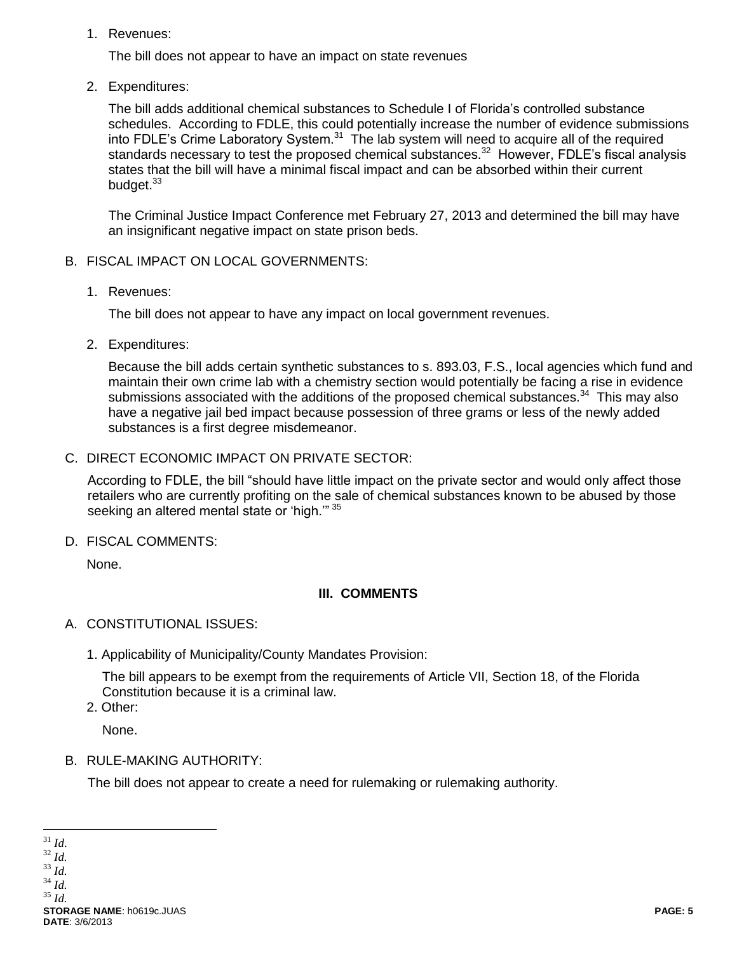1. Revenues:

The bill does not appear to have an impact on state revenues

2. Expenditures:

The bill adds additional chemical substances to Schedule I of Florida's controlled substance schedules. According to FDLE, this could potentially increase the number of evidence submissions into FDLE's Crime Laboratory System. $31$  The lab system will need to acquire all of the required standards necessary to test the proposed chemical substances.<sup>32</sup> However, FDLE's fiscal analysis states that the bill will have a minimal fiscal impact and can be absorbed within their current budget.<sup>33</sup>

The Criminal Justice Impact Conference met February 27, 2013 and determined the bill may have an insignificant negative impact on state prison beds.

- B. FISCAL IMPACT ON LOCAL GOVERNMENTS:
	- 1. Revenues:

The bill does not appear to have any impact on local government revenues.

2. Expenditures:

Because the bill adds certain synthetic substances to s. 893.03, F.S., local agencies which fund and maintain their own crime lab with a chemistry section would potentially be facing a rise in evidence submissions associated with the additions of the proposed chemical substances.<sup>34</sup> This may also have a negative jail bed impact because possession of three grams or less of the newly added substances is a first degree misdemeanor.

C. DIRECT ECONOMIC IMPACT ON PRIVATE SECTOR:

According to FDLE, the bill "should have little impact on the private sector and would only affect those retailers who are currently profiting on the sale of chemical substances known to be abused by those seeking an altered mental state or 'high."<sup>35</sup>

D. FISCAL COMMENTS:

None.

# **III. COMMENTS**

- A. CONSTITUTIONAL ISSUES:
	- 1. Applicability of Municipality/County Mandates Provision:

The bill appears to be exempt from the requirements of Article VII, Section 18, of the Florida Constitution because it is a criminal law.

2. Other:

None.

B. RULE-MAKING AUTHORITY:

The bill does not appear to create a need for rulemaking or rulemaking authority.

 $\overline{a}$